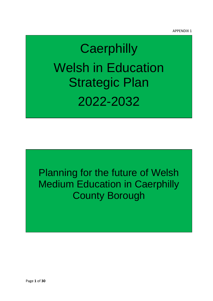# **Caerphilly** Welsh in Education Strategic Plan 2022-2032

Planning for the future of Welsh Medium Education in Caerphilly County Borough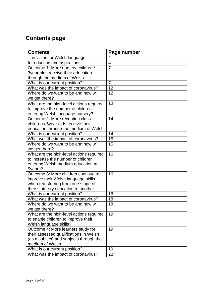# **Contents page**

| <b>Contents</b>                                                                   | Page number    |
|-----------------------------------------------------------------------------------|----------------|
| The vision for Welsh language                                                     | 4              |
| Introduction and aspirations                                                      | $\overline{4}$ |
| Outcome 1: More nursery children /                                                | $\overline{7}$ |
| 3year olds receive their education                                                |                |
| through the medium of Welsh                                                       |                |
| What is our current position?                                                     | 7              |
| What was the impact of coronavirus?                                               | 12             |
| Where do we want to be and how will                                               | 12             |
| we get there?                                                                     |                |
| What are the high-level actions required                                          | 13             |
| to improve the number of children                                                 |                |
| entering Welsh language nursery?                                                  |                |
| Outcome 2: More reception class                                                   | 14             |
| children / 5year olds receive their                                               |                |
| education through the medium of Welsh                                             |                |
| What is our current position?                                                     | 14             |
| What was the impact of coronavirus?                                               | 15             |
| Where do we want to be and how will                                               | 15             |
| we get there?                                                                     |                |
| What are the high-level actions required                                          | 16             |
| to increase the number of children                                                |                |
| entering Welsh medium education at                                                |                |
| 5years?                                                                           |                |
| Outcome 3: More children continue to                                              | 16             |
| improve their Welsh language skills                                               |                |
| when transferring from one stage of                                               |                |
| their statutory education to another                                              |                |
| What is our current position?                                                     | 16             |
| What was the impact of coronavirus?                                               | 18             |
| Where do we want to be and how will                                               | 18             |
| we get there?                                                                     |                |
| What are the high-level actions required                                          | 19             |
| to enable children to improve their                                               |                |
| Welsh language skills?                                                            |                |
| Outcome 4: More learners study for                                                | 19             |
| their assessed qualifications in Welsh<br>(as a subject) and subjects through the |                |
| medium of Welsh                                                                   |                |
| What is our current position?                                                     | 19             |
| What was the impact of coronavirus?                                               | 22             |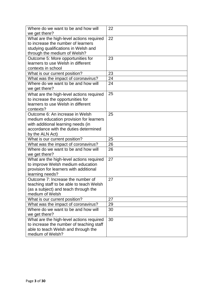| Where do we want to be and how will<br>we get there?                                                                                                                         | 22 |
|------------------------------------------------------------------------------------------------------------------------------------------------------------------------------|----|
| What are the high-level actions required<br>to increase the number of learners<br>studying qualifications in Welsh and<br>through the medium of Welsh?                       | 22 |
| Outcome 5: More opportunities for<br>learners to use Welsh in different<br>contexts in school                                                                                | 23 |
| What is our current position?                                                                                                                                                | 23 |
| What was the impact of coronavirus?                                                                                                                                          | 24 |
| Where do we want to be and how will<br>we get there?                                                                                                                         | 24 |
| What are the high-level actions required<br>to increase the opportunities for<br>learners to use Welsh in different<br>contexts?                                             | 25 |
| Outcome 6: An increase in Welsh<br>medium education provision for learners<br>with additional learning needs (in<br>accordance with the duties determined<br>by the ALN Act) | 25 |
| What is our current position?                                                                                                                                                | 25 |
| What was the impact of coronavirus?                                                                                                                                          | 26 |
| Where do we want to be and how will<br>we get there?                                                                                                                         | 26 |
| What are the high-level actions required<br>to improve Welsh medium education<br>provision for learners with additional<br>learning needs?                                   | 27 |
| Outcome 7: Increase the number of<br>teaching staff to be able to teach Welsh<br>(as a subject) and teach through the<br>medium of Welsh                                     | 27 |
| What is our current position?                                                                                                                                                | 27 |
| What was the impact of coronavirus?                                                                                                                                          | 29 |
| Where do we want to be and how will<br>we get there?                                                                                                                         | 30 |
| What are the high-level actions required<br>to increase the number of teaching staff<br>able to teach Welsh and through the<br>medium of Welsh?                              | 30 |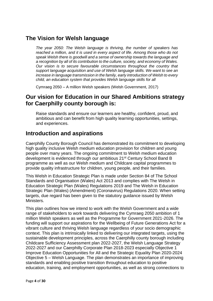# **The Vision for Welsh language**

*The year 2050: The Welsh language is thriving, the number of speakers has reached a million, and it is used in every aspect of life. Among those who do not speak Welsh there is goodwill and a sense of ownership towards the language and a recognition by all of its contribution to the culture, society, and economy of Wales. Our vision is to secure favourable circumstances throughout the country that support language acquisition and use of Welsh language skills. We want to see an increase in language transmission in the family, early introduction of Welsh to every child, an education system that provides Welsh language skills for all* 

Cymraeg 2050 – A million Welsh speakers (Welsh Government, 2017)

# **Our vision for Education in our Shared Ambitions strategy for Caerphilly county borough is:**

Raise standards and ensure our learners are healthy, confident, proud, and ambitious and can benefit from high quality learning opportunities, settings, and experiences.

# **Introduction and aspirations**

Caerphilly County Borough Council has demonstrated its commitment to developing high quality inclusive Welsh medium education provision for children and young people over many years. The ongoing commitment to Welsh medium education development is evidenced through our ambitious 21<sup>st</sup> Century School Band B programme as well as our Welsh medium and Childcare capital programmes to provide quality infrastructure for children, young people, and their families.

This Welsh in Education Strategic Plan is made under Section 84 of The School Standards and Organisation (Wales) Act 2013 and complies with The Welsh in Education Strategic Plan (Wales) Regulations 2019 and The Welsh in Education Strategic Plan (Wales) (Amendment) (Coronavirus) Regulations 2020. When setting targets, due regard has been given to the statutory guidance issued by Welsh Ministers.

This plan outlines how we intend to work with the Welsh Government and a wide range of stakeholders to work towards delivering the Cymraeg 2050 ambition of 1 million Welsh speakers as well as the Programme for Government 2021-2026. The funding will support our aspirations for the Wellbeing of Future Generations Act for a vibrant culture and thriving Welsh language regardless of your socio demographic context. This plan is intrinsically linked to delivering our integrated targets, using the sustainable development principles, across the Caerphilly county borough including Childcare Sufficiency Assessment plan 2022-2027, the Welsh Language Strategy 2022-2027 and our Caerphilly Corporate Plan 2018-2023 especially Objective 1 Improve Education Opportunities for All and the Strategic Equality Plan 2020-2024 Objective 5 – Welsh Language. The plan demonstrates an importance of improving standards and enabling positive transition throughout education to positive education, training, and employment opportunities, as well as strong connections to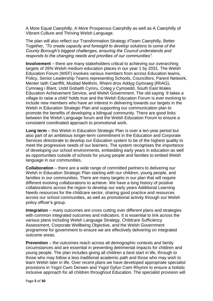A More Equal Caerphilly, A More Prosperous Caerphilly as well as A Caerphilly of Vibrant Culture and Thriving Welsh Language.

The plan will also reflect our Transformation Strategy #Team Caerphilly, Better Together, *"To create capacity and foresight to develop solutions to some of the County Borough's biggest challenges, ensuring the Council understands and responds to the changing needs and priorities of our communities".*

**Involvement** – there are many stakeholders critical to achieving our overarching targets of 26% Welsh medium education places in our year 1 by 2031. The Welsh Education Forum (WEF) involves various members from across Education teams, Policy, Senior Leadership Teams representing Schools, Councillors, Parent Network, Menter Iaith Caerffili, Mudiad Meithrin, Rhieni dros Addyg Gymraeg (RhAG), Cymraeg i Blant, Urdd Gobaith Cymru, Coleg y Cymoedd, South East Wales Education Achievement Service, and Welsh Government. The old saying *'it takes a village to raise a child'* holds true and the Welsh Education Forum is ever evolving to include new members who have an interest in delivering towards our targets in the Welsh in Education Strategic Plan and supporting our communication plan to promote the benefits of developing a bilingual community. There are good links between the Welsh Language forum and the Welsh Education Forum to ensure a consistent coordinated approach to promotional work.

**Long term** – this Welsh in Education Strategic Plan is over a ten-year period but also part of an ambitious longer-term commitment in the Education and Corporate Services directorate to develop our Education system to be of the highest quality to meet the progressive needs of our learners. The system recognises the importance of developing our school environments, embedding early years in education as well as opportunities outside of schools for young people and families to embed Welsh language in our communities.

**Collaboration** – there are a wide range of committed partners to delivering our Welsh in Education Strategic Plan starting with our children, young people, and families in our communities. There are many targets in our plan that will require different evolving collaborations to achieve. We have a long history of positive collaborations across the region to develop our early years Additional Learning Needs resources for the childcare sector, sharing good practice and resources across our school communities, as well as promotional activity through our Welsh policy officer's group.

**Integration** – many outcomes are cross cutting over different plans and strategies with common integrated outcomes and indicators. It is essential to link across the various plans including Welsh Language Strategy, Childcare Sufficiency Assessment, Corporate Wellbeing Objective, and the Welsh Government programme for government to ensure we are effectively delivering on integrated outcome areas.

**Prevention** – the outcomes reach across all demographic contexts and family circumstances and are essential in preventing detrimental impacts for children and young people. The plan includes giving all children a best start in life, through to those who may follow a less traditional academic path and those who may wish to learn Welsh later in life. Over recent plans we have developed appropriate specialist provisions in Ysgol Cwm Derwen and Ysgol Gyfun Cwm Rhymni to ensure a holistic inclusive approach for all children throughout Education. The specialist provision will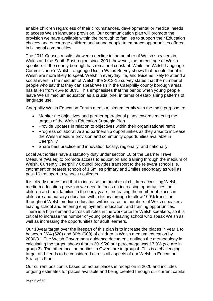enable children regardless of their circumstances, developmental or medical needs to access Welsh language provision. Our communication plan will promote the provision we have available within the borough to families to support their Education choices and encourage children and young people to embrace opportunities offered in bilingual communities.

The 2011 Census results showed a decline in the number of Welsh speakers in Wales and the South East region since 2001, however, the percentage of Welsh speakers in the county borough has remained constant. While the Welsh Language Commissioner's Welsh Language Use in Wales Survey shows that people fluent in Welsh are more likely to speak Welsh in everyday life, and twice as likely to attend a social event in the medium of Welsh, the 2013-15 survey states that the number of people who say that they can speak Welsh in the Caerphilly county borough areas has fallen from 46% to 38%. This emphasises that the period when young people leave Welsh medium education as a crucial one, in terms of establishing patterns of language use.

Caerphilly Welsh Education Forum meets minimum termly with the main purpose to:

- Monitor the objectives and partner operational plans towards meeting the targets of the Welsh Education Strategic Plan
- Provide updates in relation to objectives within their organisational remit
- Progress collaborative and partnership opportunities as they arise to increase the Welsh medium provision and community opportunities available in **Caerphilly**
- Share best practice and innovation locally, regionally, and nationally

Local Authorities have a statutory duty under section 10 of the Learner Travel Measure (Wales) to promote access to education and training through the medium of Welsh. Currently Caerphilly Council provides transport to the relevant school (i.e. catchment or nearest school) of 1.5miles primary and 2miles secondary as well as post-16 transport to schools / colleges.

It is clearly understood that to increase the number of children accessing Welsh medium education provision we need to focus on increasing opportunities for children and their families in the early years. Increasing the number of places in childcare and nursery education with a follow through to allow 100% transition throughout Welsh medium education will increase the numbers of Welsh speakers leaving school and entering employment, education, and training opportunities. There is a high demand across all roles in the workforce for Welsh speakers, so it is critical to increase the number of young people leaving school who speak Welsh as well as increasing the opportunities for adult learners.

Our 10year target over the lifespan of this plan is to increase the places in year 1 to between 26% (520) and 30% (600) of children in Welsh medium education by 2030/31. The Welsh Government guidance document, outlines the methodology in calculating the target, shows that in 2019/20 our percentage was 17.9% (we are in group 3). The other local authorities in Gwent are in group 4. This is a challenging target and needs to be considered across all aspects of our Welsh in Education Strategic Plan.

Our current position is based on actual places in reception in 2020 and includes ongoing estimates for places available and being created through our current capital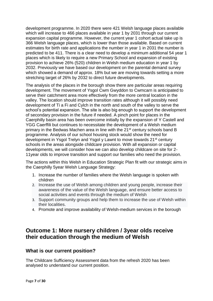development programme. In 2020 there were 421 Welsh language places available which will increase to 466 places available in year 1 by 2031 through our current expansion capital programme. However, the current year 1 cohort actual take up is 366 Welsh language places, which is lower than those available. Based on current estimates for birth rate and applications the number in year 1 in 2031 the number is predicted to be 411. There is a clear need to develop a minimum additional 54 year 1 places which is likely to require a new Primary School and expansion of existing provision to achieve 26% (520) children in Welsh medium education in year 1 by 2032. Previously we have based our development on the parental demand survey which showed a demand of approx. 18% but we are moving towards setting a more stretching target of 26% by 2032 to direct future developments.

The analysis of the places in the borough show there are particular areas requiring development. The movement of Ysgol Cwm Gwyddon to Cwmcarn is anticipated to serve their catchment area more effectively from the more central location in the valley. The location should improve transition rates although it will possibly need development of Ti a Fi and Cylch in the north and south of the valley to serve the school's potential expansion. The site is also big enough to support the development of secondary provision in the future if needed. A pinch point for places in the Caerphilly basin area has been overcome initially by the expansion of Y Castell and YGG Caerffili but continues to necessitate the development of a Welsh medium primary in the Bedwas Machen area in line with the 21<sup>st</sup> century schools band B programme. Analysis of our school housing stock would show the need for development in Ysgol Trelyn and Ysgol y Lawnt to move towards 21<sup>st</sup> century schools in the areas alongside childcare provision. With all expansion or capital developments, we will consider how we can also develop childcare on site for 2- 11year olds to improve transition and support our families who need the provision.

The actions within this Welsh in Education Strategic Plan fit with our strategic aims in the Caerphilly 5year Welsh Language Strategy:

- 1. Increase the number of families where the Welsh language is spoken with children
- 2. Increase the use of Welsh among children and young people, increase their awareness of the value of the Welsh language, and ensure better access to social activities and events through the medium of Welsh
- 3. Support community groups and help them to increase the use of Welsh within their localities.
- 4. Promote and improve availability of Welsh-medium services in the borough

# **Outcome 1: More nursery children / 3year olds receive their education through the medium of Welsh**

## **What is our current position?**

The Childcare Sufficiency Assessment data from the refresh 2020 has been analysed to understand our current position.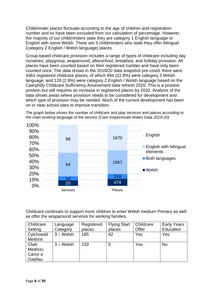Childminder places fluctuate according to the age of children and registration number and so have been excluded from our calculation of percentage. However, the majority of our childminders state they are category 1 English language or English with some Welsh. There are 5 childminders who state they offer bilingual (category 2 English / Welsh language) places.

Group-based childcare provision includes a range of types of childcare including day nurseries, playgroup, wraparound, afterschool, breakfast, and holiday provision. All places have been counted based on their registered number and have only been counted once. The data shows in the 2019/20 data snapshot pre-covid, there were 4361 registered childcare places, of which 994 (22.8%) were category 3 Welsh language, and 128 (2.9%) were category 2 English / Welsh language based on the Caerphilly Childcare Sufficiency Assessment data refresh 2020. This is a positive position but still requires an increase in registered places by 2032. Analysis of the data shows areas where provision needs to be considered for development and which type of provision may be needed. Much of the current development has been on or near school sites to improve transition.





Childcare continues to support more children to enter Welsh medium Primary as well as offer the wraparound services for working families.

| Childcare       | Language     | Registered | <b>Flying Start</b> | Childcare | <b>Early Years</b> |
|-----------------|--------------|------------|---------------------|-----------|--------------------|
| Setting         | Category     | places     | places              | Offer     | Education          |
| Cylchoedd       | $3 - W$ elsh | 185        | 62                  | Yes       | Yes                |
| <b>Meithrin</b> |              |            |                     |           |                    |
| Clwb            | $3 -$ Welsh  | 233        |                     | Yes       | <b>No</b>          |
| Meithrin,       |              |            |                     |           |                    |
| Carco a         |              |            |                     |           |                    |
| Gwyliau         |              |            |                     |           |                    |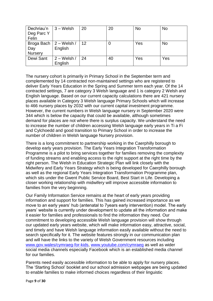| Dechriau'n     | $3 -$ Welsh               | 20 | 20 | No  | <b>No</b> |
|----------------|---------------------------|----|----|-----|-----------|
| Deg Parc Y     |                           |    |    |     |           |
| Felin          |                           |    |    |     |           |
|                | Broga Bach $ 2 -$ Welsh / | 12 |    | Yes | <b>No</b> |
| Day            | English                   |    |    |     |           |
| <b>Nursery</b> |                           |    |    |     |           |
| Dewi Sant      | $2 - W$ elsh /            | 24 | 40 | Yes | Yes       |
|                | English                   |    |    |     |           |

The nursery cohort is primarily in Primary School in the September term and complemented by 14 contracted non-maintained settings who are registered to deliver Early Years Education in the Spring and Summer term each year. Of the 14 contracted settings, 7 are category 3 Welsh language and 1 is category 2 Welsh and English language. Based on our current capacity calculations there are 421 nursery places available in Category 3 Welsh language Primary Schools which will increase to 466 nursery places by 2032 with our current capital investment programme. However, the current numbers in Welsh language nursery in September 2020 were 344 which is below the capacity that could be available, although sometimes demand for places are not where there is surplus capacity. We understand the need to increase the number of children accessing Welsh language early years in Ti a Fi and Cylchoedd and good transition to Primary School in order to increase the number of children in Welsh language Nursery provision.

There is a long commitment to partnership working in the Caerphilly borough to develop early years provision. The Early Years Integration Transformation Programme is a pilot to bring services together for families removing the complexity of funding streams and enabling access to the right support at the right time by the right person. The Welsh in Education Strategic Plan will link closely with the Midwifery and Early Years Strategy which is being developed for Caerphilly borough as well as the regional Early Years Integration Transformation Programme plan, which sits under the Gwent Public Service Board, Best Start in Life. Developing a closer working relationship with midwifery will improve accessible information to families from the very beginning.

Our Family Information Service remains at the heart of early years providing information and support for families. This has gained increased importance as we move to an early years' hub (antenatal to 7years early intervention) model. The early years' website is currently under development to update all the information and make it easier for families and professionals to find the information they need. Our commitment to developing accessible Welsh language provision will show through our updated early years website, which will make information easy, attractive, social, and timely and have Welsh language information easily available without the need to search specifically for it. The website features strongly in our communication plan and will have the links to the variety of Welsh Government resources including [www.gov.wales/cymraeg-for-kids,](http://www.gov.wales/cymraeg-for-kids) [www.youtube.com/cymraeg](http://www.youtube.com/cymraeg) as well as wider social media channels especially Facebook which is an established media channel for our families.

Parents need easily accessible information to be able to apply for nursery places. The 'Starting School' booklet and our school admission webpages are being updated to enable families to make informed choices regardless of their linguistic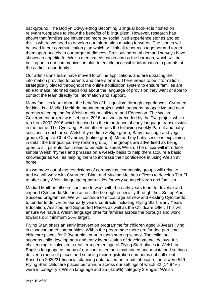background. The Bod yn Ddwyieithog Becoming Bilingual booklet is hosted on relevant webpages to show the benefits of bilingualism. However, research has shown that families are influenced more by social lived experience stories and so this is where we need to develop our information moving forwards. The stories will be used in our communication plan which will link all resources together and target them appropriately to our target audiences. Previous parental demand surveys have shown an appetite for Welsh medium education across the borough, which will be built upon in our communication plan to enable accessible information to parents at the earliest opportunity.

Our admissions team have moved to online applications and are updating the information provided to parents and carers online. There needs to be information strategically placed throughout the online application system to ensure families are able to make informed decisions about the language of provision they want or able to contact the team directly for information and support.

Many families learn about the benefits of bilingualism through experiences. Cymraeg for kids, is a Mudiad Meithrin managed project which supports prospective and new parents when opting for Welsh medium childcare and Education. The Welsh Government project was set up in 2016 and was preceded by the Twf project which ran from 2002-2016 which focused on the importance of early language transmission in the home. The Cymraeg i Blant officer runs the following weekly Parent and baby sessions in each area: Welsh rhyme time & Sign group, Baby massage and yoga group, Cuppa & Chat Cymraeg (online group), Me and my baby sessions explaining in detail the bilingual journey (online group). The groups are advertised as being open to all; parents don't need to be able to speak Welsh. The officer will introduce simple Welsh rhymes and phrases on a weekly basis to help them acquire a basic knowledge as well as helping them to increase their confidence in using Welsh at home.

As we move out of the restrictions of coronavirus, community groups will reignite, and we will work with Cymraeg I Blant and Mudiad Meithrin officers to develop Ti a Fi to offer early Welsh language opportunities for very young children and families.

Mudiad Meithrin officers continue to work with the early years team to develop and expand Cylchoedd Meithrin across the borough especially through their Set up And Succeed programme. We will continue to encourage all new and existing Cylchoedd to tender to deliver on our early years' contracts including Flying Start, Early Years Education, Assisted and Supported Places as well as the Childcare Offer. This will ensure we have a Welsh language offer for families across the borough and work towards our minimum 26% target.

Flying Start offers an early intervention programme for children aged 0-3years living in disadvantaged communities. Within the programme there are funded part time childcare places for 2-3year olds prior to them starting school. The childcare supports child development and early identification of developmental delays. It is challenging to calculate a real term percentage of Flying Start places in Welsh or English language as many of our contracted non-maintained and maintained settings deliver a range of places and so using their registration number is not sufficient. Based on 2020/21 financial planning data based on trends of usage, there were 549 Flying Start childcare places per annum across our settings of which 82 (14.94%) were in category 3 Welsh language and 25 (4.55%) category 2 English/Welsh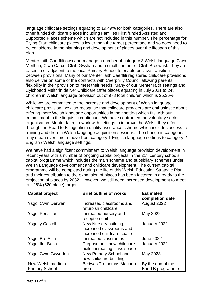language childcare settings equating to 19.49% for both categories. There are also other funded childcare places including Families First funded Assisted and Supported Places scheme which are not included in this number. The percentage for Flying Start childcare places is lower than the target percentage and so does need to be considered in the planning and development of places over the lifespan of this plan.

Menter Iaith Caerffili own and manage a number of category 3 Welsh language Clwb Meithrin, Clwb Carco, Clwb Gwyliau and a small number of Clwb Brecwast. They are based in or adjacent to the local Primary School to enable positive transition between provisions. Many of our Menter Iaith Caerffili registered childcare provisions also deliver on some of the contracts with Caerphilly Council allowing parents flexibility in their provision to meet their needs. Many of our Menter Iaith settings and Cylchoedd Meithrin deliver Childcare Offer places equating in July 2021 to 248 children in Welsh language provision out of 978 total children which is 25.36%.

While we are committed to the increase and development of Welsh language childcare provision, we also recognise that childcare providers are enthusiastic about offering more Welsh language opportunities in their setting which fits with our commitment to the linguistic continuum. We have contracted the voluntary sector organisation, Menter Iaith, to work with settings to improve the Welsh they offer through the Road to Bilingualism quality assurance scheme which includes access to training and drop-in Welsh language acquisition sessions. The change in categories may mean over time a move from category 1 English language settings to category 2 English / Welsh language settings.

We have had a significant commitment to Welsh language provision development in recent years with a number of ongoing capital projects in the 21<sup>st</sup> century schools' capital programme which includes the main scheme and subsidiary schemes under Welsh Language development and childcare development. The current capital programme will be completed during the life of this Welsh Education Strategic Plan and their contribution to the expansion of places has been factored in already to the projection of places by 2032. However, we still need increased development to meet our 26% (520 place) target.

| <b>Capital project</b>                    | <b>Brief outline of works</b>                                                  | <b>Estimated</b><br>completion date   |
|-------------------------------------------|--------------------------------------------------------------------------------|---------------------------------------|
| <b>Ysgol Cwm Derwen</b>                   | Increased classrooms and<br>refurbish childcare                                | August 2022                           |
| <b>Ysgol Penalltau</b>                    | Increased nursery and<br>reception unit                                        | May 2022                              |
| <b>Ysgol y Castell</b>                    | New Nursery building,<br>increased classrooms and<br>increased childcare space | January 2022                          |
| <b>Ysgol Bro Allta</b>                    | Increased classrooms                                                           | <b>June 2022</b>                      |
| <b>Ysgol Ifor Bach</b>                    | Purpose built new childcare<br>build increasing class space                    | January 2022                          |
| <b>Ysgol Cwm Gwyddon</b>                  | New Primary School and<br>new childcare building                               | May 2023                              |
| New Welsh medium<br><b>Primary School</b> | <b>Bedwas Trethomas Machen</b><br>area                                         | By the end of the<br>Band B programme |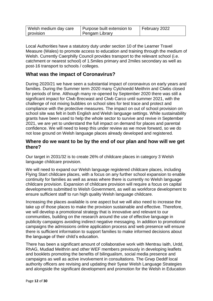| Welsh medium day care | Purpose built extension to | February 2022 |
|-----------------------|----------------------------|---------------|
| provision             | Pengam Library             |               |

Local Authorities have a statutory duty under section 10 of the Learner Travel Measure (Wales) to promote access to education and training through the medium of Welsh. Currently Caerphilly Council provides transport to the relevant school (i.e. catchment or nearest school) of 1.5miles primary and 2miles secondary as well as post-16 transport to schools / colleges.

## **What was the impact of Coronavirus?**

During 2020/21 we have seen a substantial impact of coronavirus on early years and families. During the Summer term 2020 many Cylchoedd Meithrin and Clwbs closed for periods of time. Although many re-opened by September 2020 there was still a significant impact for Clwb Brecwast and Clwb Carco until summer 2021, with the challenge of not mixing bubbles on school sites for test trace and protect and compliance with the protective measures. The impact on out of school provision on school site was felt in both English and Welsh language settings. While sustainability grants have been used to help the whole sector to survive and revive in September 2021, we are yet to understand the full impact on demand for places and parental confidence. We will need to keep this under review as we move forward, so we do not lose ground on Welsh language places already developed and registered.

#### **Where do we want to be by the end of our plan and how will we get there?**

Our target in 2031/32 is to create 26% of childcare places in category 3 Welsh language childcare provision.

We will need to expand our Welsh language registered childcare places, including Flying Start childcare places, with a focus on any further school expansion to enable continuity for families as well as areas where there is currently no Welsh language childcare provision. Expansion of childcare provision will require a focus on capital developments submitted to Welsh Government, as well as workforce development to ensure sufficient staff to run high quality Welsh language childcare.

Increasing the places available is one aspect but we will also need to increase the take up of those places to make the provision sustainable and effective. Therefore, we will develop a promotional strategy that is innovative and relevant to our communities, building on the research around the use of effective language in publicity campaigns avoiding indirect negative messaging. In addition to promotional campaigns the admissions online application process and web presence will ensure there is sufficient information to support families to make informed decisions about the language of their child's education.

There has been a significant amount of collaborative work with Mentrau Iaith, Urdd, RhAG, Mudiad Meithrin and other WEF members previously in developing leaflets and booklets promoting the benefits of bilingualism, social media presence and campaigns as well as active involvement in consultations. The Grwp Deddf local authority officers are revising and updating their 5year Welsh Language Strategies and alongside the significant development and promotion for the Welsh in Education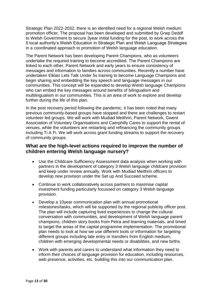Strategic Plan 2022-2032, there is an identified need for a regional Welsh medium promotion officer. The proposal has been developed and submitted by Grwp Deddf to Welsh Government to secure 3year initial funding for the post, to work across the 5 local authority's Welsh Education in Strategic Plan and Welsh Language Strategies in a coordinated approach to promotion of Welsh language education.

The Parent Network has been developing Parent Champions, who as volunteers undertake the required training to become accredited. The Parent Champions are linked to each other, Parent Network and early years to ensure consistency of messages and information to families across communities. Recently a number have undertaken Elklan Lets Talk Under 5s training to become Language Champions and begin sharing and embedding the key speech and language messages in our communities. This concept will be expanded to develop Welsh language Champions who can embed the key messages around benefits of bilingualism and multilingualism in our communities. This is an area of work to explore and develop further during the life of this plan.

In the post recovery period following the pandemic, it has been noted that many previous community-based groups have stopped and there are challenges to restart volunteer led groups. We will work with Mudiad Meithrin, Parent Network, Gwent Association of Voluntary Organisations and Caerphilly Cares to support the rental of venues, while the volunteers are restarting and refinancing the community groups including Ti A Fi. We will work across grant funding streams to support the recovery of community groups.

## **What are the high-level actions required to improve the number of children entering Welsh language nursery?**

- Use the Childcare Sufficiency Assessment data analysis when working with partners in the development of category 3 Welsh language childcare provision and keep under review annually. Work with Mudiad Meithrin officers to develop new provision under the Set up And Succeed scheme.
- Continue to work collaboratively across partners to maximise capital investment funding particularly focussed on category 3 Welsh language provision.
- Develop a 10year communication plan with annual promotional milestones/tasks, which will be supported by the regional publicity officer post. The plan will include capturing lived experiences to change the cultural conversation with communities, and development of Welsh language parent champions, children story books from Petra and learning materials, and timed to target the areas of the capital programme implementation. The promotional plan needs to look at how we use different tools or information for targeting different groups including late entry or transfers from English medium, children with emerging developmental needs or disabilities, and new births.
- Work with parents and carers to understand what information they need to inform their choices of language provision for education, including resources, web presence, activities, etc. building this into our communication plan.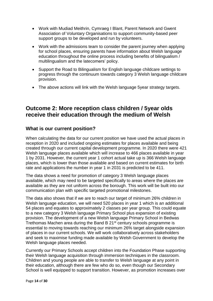- Work with Mudiad Meithrin, Cymraeg I Blant, Parent Network and Gwent Association of Voluntary Organisations to support community-based peer support groups to be developed and run by volunteers.
- Work with the admissions team to consider the parent journey when applying for school places, ensuring parents have information about Welsh language education throughout the online process including benefits of bilingualism / multilingualism and the latecomers' policy.
- Support the Road to Bilingualism for English language childcare settings to progress through the continuum towards category 3 Welsh language childcare provision.
- The above actions will link with the Welsh language 5year strategy targets.

# **Outcome 2: More reception class children / 5year olds receive their education through the medium of Welsh**

## **What is our current position?**

When calculating the data for our current position we have used the actual places in reception in 2020 and included ongoing estimates for places available and being created through our current capital development programme. In 2020 there were 421 Welsh language places available which will increase to 466 places available in year 1 by 2031. However, the current year 1 cohort actual take up is 366 Welsh language places, which is lower than those available and based on current estimates for birth rate and applications the number in year 1 in 2031 is predicted to be 411.

The data shows a need for promotion of category 3 Welsh language places available, which may need to be targeted specifically to areas where the places are available as they are not uniform across the borough. This work will be built into our communication plan with specific targeted promotional milestones.

The data also shows that if we are to reach our target of minimum 26% children in Welsh language education, we will need 520 places in year 1 which is an additional 54 places and equates to approximately 2 classes per year group. This could equate to a new category 3 Welsh language Primary School plus expansion of existing provision. The development of a new Welsh language Primary School in Bedwas Trethomas Machen area during the Band B 21<sup>st</sup> century schools programme is essential to moving towards reaching our minimum 26% target alongside expansion of places in our current schools. We will work collaboratively across stakeholders and seek to maximise funding made available by Welsh Government to develop the Welsh language places needed.

Currently our Primary Schools accept children into the Foundation Phase supporting their Welsh language acquisition through immersion techniques in the classroom. Children and young people are able to transfer to Welsh language at any point in their education, although there are few who do so, even though our Secondary School is well equipped to support transition. However, as promotion increases over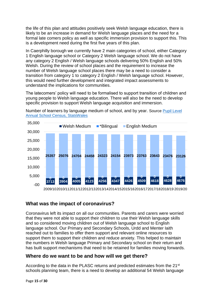the life of this plan and attitudes positively seek Welsh language education, there is likely to be an increase in demand for Welsh language places and the need for a formal late comers policy as well as specific immersion provision to support this. This is a development need during the first five years of this plan.

In Caerphilly borough we currently have 2 main categories of school, either Category 1 English language school or Category 2 Welsh language school. We do not have any category 2 English / Welsh language schools delivering 50% English and 50% Welsh. During the review of school places and the requirement to increase the number of Welsh language school places there may be a need to consider a transition from category 1 to category 2 English / Welsh language school. However, this would need further development and integrated impact assessments to understand the implications for communities.

The latecomers' policy will need to be formalised to support transition of children and young people to Welsh language education. There will also be the need to develop specific provision to support Welsh language acquisition and immersion.



Number of learners by language medium of school, and by year. Source [Pupil Level](https://statscymru.llyw.cymru/Catalogue/Education-and-Skills/Schools-and-Teachers/Schools-Census/Pupil-Level-Annual-School-Census/Welsh-Language/pupils-by-localauthorityregion-welshmediumtype)  [Annual School Census, StatsWales](https://statscymru.llyw.cymru/Catalogue/Education-and-Skills/Schools-and-Teachers/Schools-Census/Pupil-Level-Annual-School-Census/Welsh-Language/pupils-by-localauthorityregion-welshmediumtype)

# **What was the impact of coronavirus?**

Coronavirus left its impact on all our communities. Parents and carers were worried that they were not able to support their children to use their Welsh language skills and so considered moving children out of Welsh language school to English language school. Our Primary and Secondary Schools, Urdd and Menter Iaith reached out to families to offer them support and relevant online resources to support them to support their children and reduce anxiety. This helped to maintain the numbers in Welsh language Primary and Secondary school on their return and has built support mechanisms that need to be retained for families moving forwards.

## **Where do we want to be and how will we get there?**

According to the data in the PLASC returns and predicted estimates from the 21st schools planning team, there is a need to develop an additional 54 Welsh language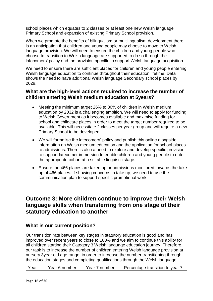school places which equates to 2 classes or at least one new Welsh language Primary School and expansion of existing Primary School provision.

When we promote the benefits of bilingualism or multilingualism development there is an anticipation that children and young people may choose to move to Welsh language provision. We will need to ensure the children and young people who choose to transition to Welsh language are supported to do so through the latecomers' policy and the provision specific to support Welsh language acquisition.

We need to ensure there are sufficient places for children and young people entering Welsh language education to continue throughout their education lifetime. Data shows the need to have additional Welsh language Secondary school places by 2029.

#### **What are the high-level actions required to increase the number of children entering Welsh medium education at 5years?**

- Meeting the minimum target 26% to 30% of children in Welsh medium education by 2032 is a challenging ambition. We will need to apply for funding to Welsh Government as it becomes available and maximise funding for school and childcare places in order to meet the target number required to be available. This will necessitate 2 classes per year group and will require a new Primary School to be developed.
- We will formalise the latecomers' policy and publish this online alongside information on Welsh medium education and the application for school places to admissions. There is also a need to explore and develop specific provision to support latecomer immersion to enable children and young people to enter the appropriate cohort at a suitable linguistic stage.
- Ensure the 466 places are taken up or admissions monitored towards the take up of 466 places. If showing concerns in take up, we need to use the communication plan to support specific promotional work.

# **Outcome 3: More children continue to improve their Welsh language skills when transferring from one stage of their statutory education to another**

## **What is our current position?**

Our transition rate between key stages in statutory education is good and has improved over recent years to close to 100% and we aim to continue this ability for all children starting their Category 3 Welsh language education journey. Therefore, our task is to increase the number of children entering Welsh language provision at nursery 3year old age range, in order to increase the number transitioning through the education stages and completing qualifications through the Welsh language.

| 'Year 6 number<br>l Year 7 number<br>l Year<br>Percentage transition to year 7 |
|--------------------------------------------------------------------------------|
|--------------------------------------------------------------------------------|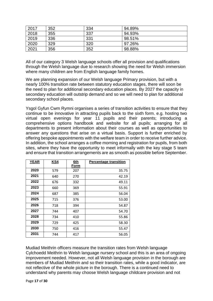| 2017 | 352 | 334 | 94.89% |
|------|-----|-----|--------|
| 2018 | 355 | 337 | 94.93% |
| 2019 | 336 | 331 | 98.51% |
| 2020 | 329 | 320 | 97.26% |
| 2021 | 356 | 352 | 98.88% |

All of our category 3 Welsh language schools offer all provision and qualifications through the Welsh language due to research showing the need for Welsh immersion where many children are from English language family homes.

We are planning expansion of our Welsh language Primary provision, but with a nearly 100% transition rate between statutory education stages, there will soon be the need to plan for additional secondary education places. By 2027 the capacity in secondary education will outstrip demand and so we will need to plan for additional secondary school places.

Ysgol Gyfun Cwm Rymni organises a series of transition activities to ensure that they continue to be innovative in attracting pupils back to the sixth form. e.g. hosting two virtual open evenings for year 11 pupils and their parents; introducing a comprehensive options handbook and website for all pupils; arranging for all departments to present information about their courses as well as opportunities to answer any questions that arise on a virtual basis. Support is further enriched by offering bespoke appointments with the welfare team in order to receive further advice. In addition, the school arranges a coffee morning and registration for pupils, from both sites, where they have the opportunity to meet informally with the key stage 5 team and ensure that transition arrangements are as smooth as possible before September.

| <b>YEAR</b> | KS4 | 6th  | <b>Percentage transition</b> |
|-------------|-----|------|------------------------------|
|             |     | Form |                              |
| 2020        | 579 | 207  | 35.75                        |
| 2021        | 640 | 270  | 42.19                        |
| 2022        | 676 | 332  | 49.11                        |
| 2023        | 660 | 369  | 55.91                        |
| 2024        | 687 | 385  | 56.04                        |
| 2025        | 715 | 376  | 53.00                        |
| 2026        | 718 | 394  | 54.87                        |
| 2027        | 744 | 407  | 54.70                        |
| 2028        | 734 | 410  | 55.86                        |
| 2029        | 729 | 425  | 58.30                        |
| 2030        | 750 | 416  | 55.47                        |
| 2031        | 744 | 417  | 56.05                        |

Mudiad Meithrin officers measure the transition rates from Welsh language Cylchoedd Meithrin to Welsh language nursery school and this is an area of ongoing improvement needed. However, not all Welsh language provision in the borough are members of Mudiad Meithrin and so their transition rates, while a good indicator, are not reflective of the whole picture in the borough. There is a continued need to understand why parents may choose Welsh language childcare provision and not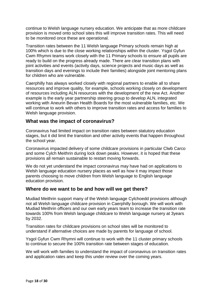continue to Welsh language nursery education. We anticipate that as more childcare provision is moved onto school sites this will improve transition rates. This will need to be monitored once these are operational.

Transition rates between the 11 Welsh language Primary schools remain high at 100% which is due to the close working relationships within the cluster. Ysgol Gyfun Cwm Rhymni teams work closely with the 11 Primary schools to ensure all pupils are ready to build on the progress already made. There are clear transition plans with joint activities and events (activity days, science projects and music days as well as transition days and evenings to include their families) alongside joint mentoring plans for children who are vulnerable.

Caerphilly has always worked closely with regional partners to enable all to share resources and improve quality, for example, schools working closely on development of resources including ALN resources with the development of the new Act. Another example is the early year partnership steering group to develop ALN, integrated working with Aneurin Bevan Health Boards for the most vulnerable families, etc. We will continue to work with others to improve transition rates and access for families to Welsh language provision.

## **What was the impact of coronavirus?**

Coronavirus had limited impact on transition rates between statutory education stages, but it did limit the transition and other activity events that happen throughout the school year.

Coronavirus impacted delivery of some childcare provisions in particular Clwb Carco and some Cylch Meithrin during lock down peaks. However, it is hoped that these provisions all remain sustainable to restart moving forwards.

We do not yet understand the impact coronavirus may have had on applications to Welsh language education nursery places as well as how it may impact those parents choosing to move children from Welsh language to English language education provision.

#### **Where do we want to be and how will we get there?**

Mudiad Meithrin support many of the Welsh language Cylchoedd provisions although not all Welsh language childcare provision in Caerphilly borough. We will work with Mudiad Meithrin officers and our own early years team to increase the transition rate towards 100% from Welsh language childcare to Welsh language nursery at 3years by 2032.

Transition rates for childcare provisions on school sites will be monitored to understand if alternative choices are made by parents for language of school.

Ysgol Gyfun Cwm Rhymni will continue to work with the 11 cluster primary schools to continue to secure the 100% transition rate between stages of education.

We will work with families to understand the impact of coronavirus on transition rates and application rates and keep this under review over the coming years.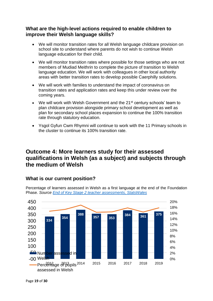# **What are the high-level actions required to enable children to improve their Welsh language skills?**

- We will monitor transition rates for all Welsh language childcare provision on school site to understand where parents do not wish to continue Welsh language education for their child.
- We will monitor transition rates where possible for those settings who are not members of Mudiad Meithrin to complete the picture of transition to Welsh language education. We will work with colleagues in other local authority areas with better transition rates to develop possible Caerphilly solutions.
- We will work with families to understand the impact of coronavirus on transition rates and application rates and keep this under review over the coming years.
- We will work with Welsh Government and the 21<sup>st</sup> century schools' team to plan childcare provision alongside primary school development as well as plan for secondary school places expansion to continue the 100% transition rate through statutory education.
- Ysgol Gyfun Cwm Rhymni will continue to work with the 11 Primary schools in the cluster to continue its 100% transition rate.

# **Outcome 4: More learners study for their assessed qualifications in Welsh (as a subject) and subjects through the medium of Welsh**

# **What is our current position?**

Percentage of learners assessed in Welsh as a first language at the end of the Foundation Phase. *Source [End of Key Stage 2 teacher assessments, StatsWales](https://statswales.gov.wales/Catalogue/Education-and-Skills/Schools-and-Teachers/Examinations-and-Assessments/Foundation-Phase/nationallevelresults-by-areaoflearning-year-gender)*

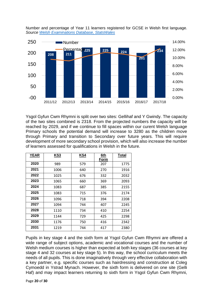

Number and percentage of Year 11 learners registered for GCSE in Welsh first language. *Source [Welsh Examinations Database, StatsWales](https://statscymru.llyw.cymru/Catalogue/Education-and-Skills/Schools-and-Teachers/Examinations-and-Assessments/Key-Stage-4/examinationachievementsofpupilsaged15-by-localauthority)*

Ysgol Gyfun Cwm Rhymni is split over two sites: Gellihaf and Y Gwindy. The capacity of the two sites combined is 2318. From the projected numbers the capacity will be reached by 2029, and if we continue to fill spaces within our curent Welsh language Primary schools the potential demand will increase to 3280 as the children move through Primary and transition to Secondary over future years. This will require development of more secondary school provision, which will also increase the number of learners assessed for qualifications in Welsh in the future.

| <b>YEAR</b> | <b>KS3</b> | KS4 | 6th<br>Form | <b>Total</b> |
|-------------|------------|-----|-------------|--------------|
| 2020        | 989        | 579 | 207         | 1775         |
| 2021        | 1006       | 640 | 270         | 1916         |
| 2022        | 1025       | 676 | 332         | 2032         |
| 2023        | 1065       | 660 | 369         | 2093         |
| 2024        | 1083       | 687 | 385         | 2155         |
| 2025        | 1083       | 715 | 376         | 2174         |
| 2026        | 1096       | 718 | 394         | 2208         |
| 2027        | 1094       | 744 | 407         | 2245         |
| 2028        | 1110       | 734 | 410         | 2254         |
| 2029        | 1144       | 729 | 425         | 2298         |
| 2030        | 1176       | 750 | 416         | 2342         |
| 2031        | 1219       | 744 | 417         | 2380         |

Pupils in key stage 4 and the sixth form at Ysgol Gyfun Cwm Rhymni are offered a wide range of subject options, academic and vocational courses and the number of Welsh medium courses is higher than expected at both key stages (36 courses at key stage 4 and 32 courses at key stage 5). In this way, the school curriculum meets the needs of all pupils. This is done imaginatively through very effective collaboration with a key partner, e.g. specific courses such as hairdressing and construction at Coleg Cymoedd in Ystrad Mynach. However, the sixth form is delivered on one site (Gelli Haf) and may impact learners returning to sixth form in Ysgol Gyfun Cwm Rhymni,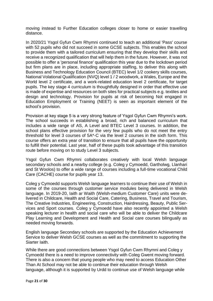moving instead to Further Education colleges closer to home or easier travelling distance.

In 2020/21 Ysgol Gyfun Cwm Rhymni continued to teach an additional 'Pass' course with 52 pupils who did not succeed in some GCSE subjects. This enables the school to provide them with a tailored curriculum ensuring that they develop their skills and receive a recognized qualification that will help them in the future. However, it was not possible to offer a 'personal finance' qualification this year due to the lockdown period but firm plans are in place, including appropriate staffing, to deliver this along with Business and Technology Education Council (BTEC) level 1/2 cookery skills courses, National Volational Qualification (NVQ) level 1 / 2 woodwork, a Wales, Europe and the World level 2 certificate, and a work-related education level 2 certificate, for target pupils. The key stage 4 curriculum is thoughtfully designed in order that effective use is made of expertise and resources on both sites for practical subjects e.g. textiles and design and technology. Provision for pupils at risk of becoming Not engaged in Education Employment or Training (NEET) is seen as important element of the school's provision.

Provision at key stage 5 is a very strong feature of Ysgol Gyfun Cwm Rhymni's work. The school succeeds in establishing a broad, rich and balanced curriculum that includes a wide range of AS, A Level and BTEC Level 3 courses. In addition, the school plans effective provision for the very few pupils who do not meet the entry threshold for level 3 courses of 5A\*-C via the level 2 courses in the sixth form. This course offers an extra year of transition to ensure that all pupils have the opportunity to fulfill their potential. Last year, half of these pupils took advantage of this transition route before moving on to study Level 3 subjects.

Ysgol Gyfun Cwm Rhymni collaborates creatively with local Welsh language secondary schools and a nearby college (e.g. Coleg y Cymoedd, Gartholwg, Llanhari and St Woolos) to offer a wide range of courses including a full-time vocational Child Care (CACHE) course for pupils year 13.

Coleg y Cymoedd supports Welsh language learners to continue their use of Welsh in some of the courses through customer service modules being delivered in Welsh language. In 2019-20, Iaith ar Waith (Welsh-medium Customer Care) units were delivered in Childcare, Health and Social Care, Catering, Business, Travel and Tourism, The Creative Industries, Engineering, Construction, Hairdressing, Beauty, Public Services and Sport courses. Coleg y Cymoedd have also recently appointed a Welsh speaking lecturer in health and social care who will be able to deliver the Childcare Play Learning and Development and Health and Social care courses bilingually as needed moving forwards.

English language Secondary schools are supported by the Education Achievement Service to deliver Welsh GCSE courses as well as the commitment to supporting the Siarter Iaith.

While there are good connections between Ysgol Gyfun Cwm Rhymni and Coleg y Cymoedd there is a need to improve connectivity with Coleg Gwent moving forward. There is also a concern that young people who may need to access Education Other Than At School may not be able to continue their education through Welsh language, although it is supported by Urdd to continue use of Welsh language while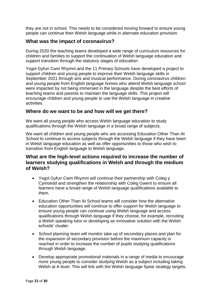they are not in school. This needs to be considered moving forward to ensure young people can continue their Welsh language while in alternate education provision.

# **What was the impact of coronavirus?**

During 2020 the teaching teams developed a wide range of curriculum resources for children and families to support the continuation of Welsh language education and support transition through the statutory stages of education.

Ysgol Gyfun Cwm Rhymni and the 11 Primary Schools have developed a project to support children and young people to improve their Welsh language skills in September 2021 through arts and musical performance. During coronavirus children and young people from English language homes who attend Welsh language school were impacted by not being immersed in the language despite the best efforts of teaching teams and parents to maintain the language skills. This project will encourage children and young people to use the Welsh language in creative activities.

#### **Where do we want to be and how will we get there?**

We want all young people who access Welsh language education to study qualifications through the Welsh language in a broad range of subjects.

We want all children and young people who are accessing Education Other Than At School to continue to access subjects through the Welsh language if they have been in Welsh language education as well as offer opportunities to those who wish to transition from English language to Welsh language.

# **What are the high-level actions required to increase the number of learners studying qualifications in Welsh and through the medium of Welsh?**

- Ysgol Gyfun Cwm Rhymni will continue their partnership with Coleg y Cymoedd and strengthen the relationship with Coleg Gwent to ensure all learners have a broad range of Welsh language qualifications available to them.
- Education Other Than At School teams will consider how the alternative education opportunities will continue to offer support for Welsh language to ensure young people can continue using Welsh language and access qualifications through Welsh language if they choose, for example, recruiting a Welsh speaking tutor or developing an innovative solution with the Welsh schools' cluster.
- School planning team will monitor take up of secondary places and plan for the expansion of secondary provision before the maximum capacity is reached in order to increase the number of pupils studying qualifications through Welsh language.
- Develop appropriate promotional materials in a range of media to encourage more young people to consider studying Welsh as a subject including taking Welsh at A level. This will link with the Welsh language 5year strategy targets.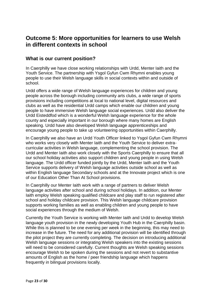# **Outcome 5: More opportunities for learners to use Welsh in different contexts in school**

#### **What is our current position?**

In Caerphilly we have close working relationships with Urdd, Menter Iaith and the Youth Service. The partnership with Ysgol Gyfun Cwm Rhymni enables young people to use their Welsh language skills in social contexts within and outside of school.

Urdd offers a wide range of Welsh language experiences for children and young people across the borough including community arts clubs, a wide range of sports provisions including competitions at local to national level, digital resources and clubs as well as the residential Urdd camps which enable our children and young people to have immersive Welsh language social experiences. Urdd also deliver the Urdd Eisteddfod which is a wonderful Welsh language experience for the whole county and especially important in our borough where many homes are English speaking. Urdd have also developed Welsh language apprenticeships and encourage young people to take up volunteering opportunities within Caerphilly.

In Caerphilly we also have an Urdd Youth Officer linked to Ysgol Gyfun Cwm Rhymni who works very closely with Menter Iaith and the Youth Service to deliver extracurricular activities in Welsh language, complementing the school provision. The Urdd and Menter Iaith also work closely with the Sports Caerphilly to ensure that all our school holiday activities also support children and young people in using Welsh language. The Urdd officer funded jointly by the Urdd, Menter Iaith and the Youth Service supports delivery of Welsh language activities outside school as well as within English language Secondary schools and at the Innovate project which is one of our Education Other Than At School provisions.

In Caerphilly our Menter Iaith work with a range of partners to deliver Welsh language activities after school and during school holidays. In addition, our Menter Iaith employ Welsh speaking qualified childcare and play staff to run registered after school and holiday childcare provision. This Welsh language childcare provision supports working families as well as enabling children and young people to have social experiences through the medium of Welsh.

Currently the Youth Service is working with Menter Iaith and Urdd to develop Welsh language youth provision in the newly developing Youth Hub in the Caerphilly basin. While this is planned to be one evening per week in the beginning, this may need to increase in the future. The need for any additional provision will be identified through the pilot project they are currently completing. The decision on introducing additional Welsh language sessions or integrating Welsh speakers into the existing sessions will need to be considered carefully. Current thoughts are Welsh speaking sessions encourage Welsh to be spoken during the sessions and not revert to substantive amounts of English as the home / peer friendship language which happens frequently in bilingual provisions locally.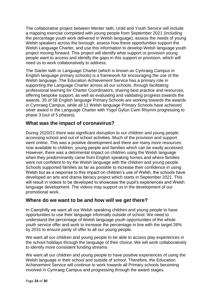The collaborative project between Menter Iaith, Urdd and Youth Service will include a mapping exercise completed with young people from September 2021 (including the percentage youth work delivered in Welsh language), assess the needs of young Welsh speakers across the borough, assess how these opportunities support the Welsh Language Charter, and use this information to develop Welsh language youth project moving forward. This project will identify what support or provision young people want to access and identify the gaps in this support or provision, which will need us to work collaboratively to address.

The Siarter Iaith or Language Charter (which is known as Cymraeg Campus in English language primary schools) is a framework for encouraging the use of the Welsh language. The Education Achievement Service has a primary role in supporting the Language Charter across all our schools, through facilitating professional learning for Charter Coordinators, sharing best practice and resources, offering bespoke support, as well as evaluating and validating progress towards the awards. 35 of 58 English language Primary Schools are working towards the awards in Cymraeg Campus, while all 11 Welsh language Primary Schools have achieved silver award in the Language Charter with Ysgol Gyfun Cwm Rhymni progressing to phase 3 (out of 5 phases).

## **What was the impact of coronavirus?**

During 2020/21 there was significant disruption to our children and young people accessing school and out of school activities. Much of the provision and support went online. This was a positive development and there are many more resources now available to children, young people and families which can be easily accessed. However, there was a detrimental impact on children using the Welsh language when they predominantly came from English speaking homes and where families were not confident to try the Welsh language with the children and young people. Schools supported families as far as possible to increase their confidence in using Welsh but as a response to this impact on children's use of Welsh, the schools have developed an arts and drama literacy project which starts in September 2021. This will result in videos to be developed to showcase the pupil's experiences and Welsh language development. The videos may support us in the development of our promotional work.

#### **Where do we want to be and how will we get there?**

In Caerphilly we want all our Welsh speaking children and young people to have opportunities to use their language informally outside of school. We need to understand the percentage of Welsh language youth opportunities of the whole youth service offer and work to increase the percentage in line with the target 26% by 2031 to ensure parity of offer to all our young people.

We want all our children and young people to be able to access play experiences in the school holidays through the language of their choice. We will work collaboratively to identify more consistent funding streams

We want all our children and young people to have positive experiences of using the Welsh language in their school and outside of school. Therefore, the Education Achievement Service will continue to work towards all Primary schools becoming involved in Cymraeg Campus and progressing through the award stages.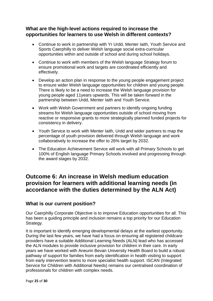# **What are the high-level actions required to increase the opportunities for learners to use Welsh in different contexts?**

- Continue to work in partnership with Yr Urdd, Menter Iaith, Youth Service and Sports Caerphilly to deliver Welsh language social extra-curricular opportunities within and outside of school and during school holidays.
- Continue to work with members of the Welsh language Strategy forum to ensure promotional work and targets are coordinated efficiently and effectively.
- Develop an action plan in response to the young people engagement project to ensure wider Welsh language opportunities for children and young people. There is likely to be a need to increase the Welsh language provision for young people aged 11years upwards. This will be taken forward in the partnership between Urdd, Menter Iaith and Youth Service.
- Work with Welsh Government and partners to identify ongoing funding streams for Welsh language opportunities outside of school moving from reactive or responsive grants to more strategically planned funded projects for consistency in delivery.
- Youth Service to work with Menter Iaith, Urdd and wider partners to map the percentage of youth provision delivered through Welsh language and work collaboratively to increase the offer to 26% target by 2032.
- The Education Achievement Service will work with all Primary Schools to get 100% of English language Primary Schools involved and progressing through the award stages by 2032.

# **Outcome 6: An increase in Welsh medium education provision for learners with additional learning needs (in accordance with the duties determined by the ALN Act)**

## **What is our current position?**

Our Caerphilly Corporate Objective is to improve Education opportunities for all. This has been a guiding principle and inclusion remains a top priority for our Education Strategy.

It is important to identify emerging developmental delays at the earliest opportunity. During the last few years, we have had a focus on ensuring all registered childcare providers have a suitable Additional Learning Needs (ALN) lead who has accessed the ALN modules to provide inclusive provision for children in their care. In early years we have worked with Aneurin Bevan University Health Board to build a robust pathway of support for families from early identification in health visiting to support from early intervention teams to more specialist health support. ISCAN (Integrated Service for Children with Additional Needs) remains our centralised coordination of professionals for children with complex needs.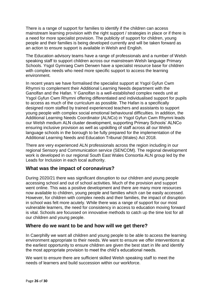There is a range of support for families to identify if the children can access mainstream learning provision with the right support / strategies in place or if there is a need for more specialist provision. The publicity of support for children, young people and their families is being developed currently and will be taken forward as an action to ensure support is available in Welsh and English.

The Education advisory teams have a range of professionals and a number of Welsh speaking staff to support children across our mainstream Welsh language Primary Schools. Ysgol Gymraeg Cwm Derwen have a specialist resource base for children with complex needs who need more specific support to access the learning environment.

In recent years we have formalised the specialist support at Ysgol Gyfun Cwm Rhymni to complement their Additional Learning Needs department with the Ganolfan and the Hafan. Y Ganolfan is a well-established complex needs unit at Ysgol Gyfun Cwm Rhymni offering differentiated and individualised support for pupils to access as much of the curriculum as possible. The Hafan is a specifically designed room staffed by trained experienced teachers and assistants to support young people with complex social emotional behavioural difficulties. In addition, the Additional Learning Needs Coordinator (ALNCo) in Ysgol Gyfun Cwm Rhymni leads our Welsh medium ALN cluster development, supporting Primary Schools' ALNCo ensuring inclusive provision as well as upskilling of staff across all our Welsh language schools in the borough to be fully prepared for the implementation of the Additional Learning Needs and Education Tribunal (Wales) Act 2018.

There are very experienced ALN professionals across the region including in our regional Sensory and Communication service (SENCOM). The regional development work is developed in our regional South East Wales Consortia ALN group led by the Leads for Inclusion in each local authority.

## **What was the impact of coronavirus?**

During 2020/21 there was significant disruption to our children and young people accessing school and out of school activities. Much of the provision and support went online. This was a positive development and there are many more resources now available to children, young people and families which can be easily accessed. However, for children with complex needs and their families, the impact of disruption in school was felt more acutely. While there was a range of support for our most vulnerable learners, the need for consistency in access to education moving forward is vital. Schools are focussed on innovative methods to catch up the time lost for all our children and young people.

## **Where do we want to be and how will we get there?**

In Caerphilly we want all children and young people to be able to access the learning environment appropriate to their needs. We want to ensure we offer interventions at the earliest opportunity to ensure children are given the best start in life and identify the most appropriate provision to meet the child's educational needs.

We want to ensure there are sufficient skilled Welsh speaking staff to meet the needs of learners and build succession within our workforce.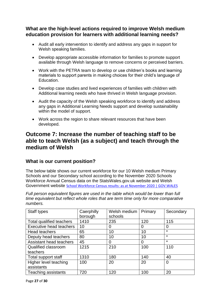# **What are the high-level actions required to improve Welsh medium education provision for learners with additional learning needs?**

- Audit all early intervention to identify and address any gaps in support for Welsh speaking families.
- Develop appropriate accessible information for families to promote support available through Welsh language to remove concerns or perceived barriers.
- Work with the PETRA team to develop or use children's books and learning materials to support parents in making choices for their child's language of Education.
- Develop case studies and lived experiences of families with children with Additional learning needs who have thrived in Welsh language provision.
- Audit the capacity of the Welsh speaking workforce to identify and address any gaps in Additional Learning Needs support and develop sustainability within the model of support.
- Work across the region to share relevant resources that have been developed.

# **Outcome 7: Increase the number of teaching staff to be able to teach Welsh (as a subject) and teach through the medium of Welsh**

# **What is our current position?**

The below table shows our current workforce for our 10 Welsh medium Primary Schools and our Secondary school according to the November 2020 Schools Workforce Annual Census data on the StatsWales.gov.uk website and Welsh Government website [School Workforce Census results: as at November 2020 | GOV.WALES](https://gov.wales/school-workforce-census-results-november-2020-html)

*Full person equivalent figures are used in the table which would be lower than full time equivalent but reflect whole roles that are term time only for more comparative numbers.*

| Staff types                | Caerphilly | Welsh medium | Primary | Secondary |
|----------------------------|------------|--------------|---------|-----------|
|                            | borough    | schools      |         |           |
| Total qualified teachers   | 1410       | 235          | 120     | 115       |
| Executive head teachers    | 10         | 0            | 0       | 0         |
| Head teachers              | 65         | 10           | 10      | $\star$   |
| Deputy head teachers       | 80         | 10           | 10      | $\star$   |
| Assistant head teachers    | 45         | 0            | 0       | $\star$   |
| Qualified classroom        | 1215       | 210          | 100     | 110       |
| teachers                   |            |              |         |           |
| Total support staff        | 1310       | 180          | 140     | 40        |
| Higher level teaching      | 100        | 20           | 20      | 0         |
| assistants                 |            |              |         |           |
| <b>Teaching assistants</b> | 720        | 120          | 100     | 20        |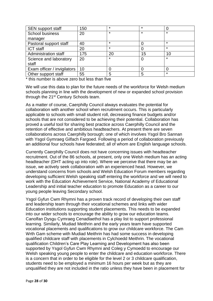| <b>SEN</b> support staff    | 150 | *       | $\star$ |         |
|-----------------------------|-----|---------|---------|---------|
| <b>School business</b>      | 20  | *       | $\star$ | $\star$ |
| manager                     |     |         |         |         |
| Pastoral support staff      | 40  | $\star$ |         | $\star$ |
| <b>ICT staff</b>            | 20  | *       |         | $\star$ |
| <b>Administration staff</b> | 175 | 20      | 15      | 10      |
| Science and laboratory      | 20  | $\star$ |         | $\star$ |
| staff                       |     |         |         |         |
| Exam officer / invigilators | 10  |         |         |         |
| Other support staff         | 55  | 5       | 5       | $\star$ |

\* this number is above zero but less than five

We will use this data to plan for the future needs of the workforce for Welsh medium schools planning in line with the development of new or expanded school provision through the 21<sup>st</sup> Century Schools team.

As a matter of course, Caerphilly Council always evaluates the potential for collaboration with another school when recruitment occurs. This is particularly applicable to schools with small student roll, decreasing finance budgets and/or schools that are not considered to be achieving their potential. Collaboration has proved a useful tool for sharing best practice across Caerphilly Council and the retention of effective and ambitious headteachers. At present there are seven collaborations across Caerphilly borough; one of which involves Ysgol Bro Sannan with Ysgol Gymraeg Gilfach Fargoed. Following a period of collaboration previously an additional four schools have federated; all of whom are English language schools.

Currently Caerphilly Council does not have concerning issues with headteacher recruitment. Out of the 86 schools, at present, only one Welsh medium has an acting headteacher (DHT acting up into role). Where we perceive that there may be an issue, we actively seek collaboration with an experienced head. However, we understand concerns from schools and Welsh Education Forum members regarding developing sufficient Welsh speaking staff entering the workforce and we will need to work with the Education Achievement Service, National Academy of Educational Leadership and initial teacher education to promote Education as a career to our young people leaving Secondary school.

Ysgol Gyfun Cwm Rhymni has a proven track record of developing their own staff and leadership team through their vocational schemes and links with wider Education institutions supporting student placements. This needs to be expanded into our wider schools to encourage the ability to grow our education teams. Canolfan Dysgu Cymraeg Cenadlaethol has a play list to support professional learning. Similarly, Mudiad Meithrin and the early years team have supported vocational placements and qualifications to grow our childcare workforce. The Cam Wrth Gam scheme with Mudiad Meithrin has had some success in developing qualified childcare staff with placements in Cylchoedd Meithrin. The vocational qualification Children's Care Play Learning and Development has also been supported by Ysgol Gyfun Cwm Rhymni and Coleg y Cymoedd to encourage our Welsh speaking young people to enter the childcare and education workforce. There is a concern that in order to be eligible for the level 2 or 3 childcare qualification, students need to be employed a minimum 16 hours per week but as they are unqualified they are not included in the ratio unless they have been in placement for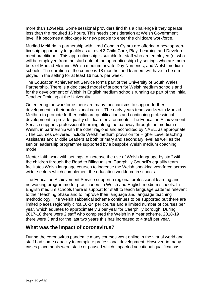more than 12weeks. Some sessional providers find this a challenge if they operate less than the required 16 hours. This needs consideration at Welsh Government level if it becomes a blockage for new people to enter the childcare workforce.

Mudiad Meithrin in partnership with Urdd Gobaith Cymru are offering a new apprenticeship opportunity to qualify as a Level 3 Child Care, Play, Learning and Development practitioner. This apprenticeship is suitable for staff who are employed (or who will be employed from the start date of the apprenticeship) by settings who are members of Mudiad Meithrin, Welsh medium private Day Nurseries, and Welsh medium schools. The duration of the course is 18 months, and learners will have to be employed in the setting for at least 16 hours per week.

The Education Achievement Service forms part of the University of South Wales Partnership. There is a dedicated model of support for Welsh medium schools and for the development of Welsh in English medium schools running as part of the Initial Teacher Training at the University.

On entering the workforce there are many mechanisms to support further development in their professional career. The early years team works with Mudiad Meithrin to promote further childcare qualifications and continuing professional development to provide quality childcare environments. The Education Achievement Service supports professional learning along the pathway through the medium of Welsh, in partnership with the other regions and accredited by NAEL, as appropriate. . The courses delivered include Welsh medium provision for Higher Level teaching Assistants and Middle Leaders at both primary and secondary level as well as the senior leadership programme supported by a bespoke Welsh medium coaching model.

Menter Iaith work with settings to increase the use of Welsh language by staff with the children through the Road to Bilingualism. Caerphilly Council's equality team facilitates Welsh language courses to increase the Welsh speaking workforce across wider sectors which complement the education workforce in schools.

The Education Achievement Service support a regional professional learning and networking programme for practitioners in Welsh and English medium schools. In English medium schools there is support for staff to teach language patterns relevant to their teaching phase and to improve their language and language teaching methodology. The Welsh sabbatical scheme continues to be supported but there are limited places regionally circa 10-14 per course and a limited number of courses per year, which equates to approximately 3 per year for Caerphilly borough. During 2017-18 there were 2 staff who completed the Welsh in a Year scheme, 2018-19 there were 3 and for the last two years this has increased to 4 staff per year.

## **What was the impact of coronavirus?**

During the coronavirus pandemic many courses went online in the virtual world and staff had some capacity to complete professional development. However, in many cases placements were static or paused which impacted vocational qualifications.